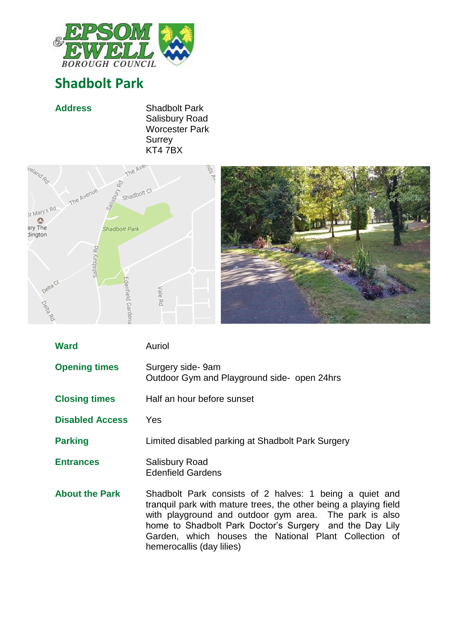

## **Shadbolt Park**







| <b>Ward</b>            | Auriol                                                                                                                                                                                                                                                                                                                                 |
|------------------------|----------------------------------------------------------------------------------------------------------------------------------------------------------------------------------------------------------------------------------------------------------------------------------------------------------------------------------------|
| <b>Opening times</b>   | Surgery side-9am<br>Outdoor Gym and Playground side- open 24hrs                                                                                                                                                                                                                                                                        |
| <b>Closing times</b>   | Half an hour before sunset                                                                                                                                                                                                                                                                                                             |
| <b>Disabled Access</b> | Yes                                                                                                                                                                                                                                                                                                                                    |
| <b>Parking</b>         | Limited disabled parking at Shadbolt Park Surgery                                                                                                                                                                                                                                                                                      |
| <b>Entrances</b>       | <b>Salisbury Road</b><br><b>Edenfield Gardens</b>                                                                                                                                                                                                                                                                                      |
| <b>About the Park</b>  | Shadbolt Park consists of 2 halves: 1 being a quiet and<br>tranguil park with mature trees, the other being a playing field<br>with playground and outdoor gym area. The park is also<br>home to Shadbolt Park Doctor's Surgery and the Day Lily<br>Garden, which houses the National Plant Collection of<br>hemerocallis (day lilies) |